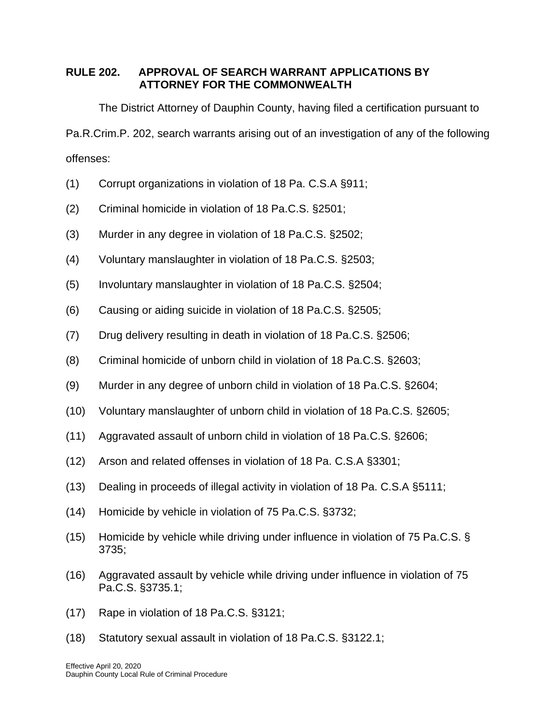## **RULE 202. APPROVAL OF SEARCH WARRANT APPLICATIONS BY ATTORNEY FOR THE COMMONWEALTH**

The District Attorney of Dauphin County, having filed a certification pursuant to Pa.R.Crim.P. 202, search warrants arising out of an investigation of any of the following offenses:

- (1) Corrupt organizations in violation of 18 Pa. C.S.A §911;
- (2) Criminal homicide in violation of 18 Pa.C.S. §2501;
- (3) Murder in any degree in violation of 18 Pa.C.S. §2502;
- (4) Voluntary manslaughter in violation of 18 Pa.C.S. §2503;
- (5) Involuntary manslaughter in violation of 18 Pa.C.S. §2504;
- (6) Causing or aiding suicide in violation of 18 Pa.C.S. §2505;
- (7) Drug delivery resulting in death in violation of 18 Pa.C.S. §2506;
- (8) Criminal homicide of unborn child in violation of 18 Pa.C.S. §2603;
- (9) Murder in any degree of unborn child in violation of 18 Pa.C.S. §2604;
- (10) Voluntary manslaughter of unborn child in violation of 18 Pa.C.S. §2605;
- (11) Aggravated assault of unborn child in violation of 18 Pa.C.S. §2606;
- (12) Arson and related offenses in violation of 18 Pa. C.S.A §3301;
- (13) Dealing in proceeds of illegal activity in violation of 18 Pa. C.S.A §5111;
- (14) Homicide by vehicle in violation of 75 Pa.C.S. §3732;
- (15) Homicide by vehicle while driving under influence in violation of 75 Pa.C.S. § 3735;
- (16) Aggravated assault by vehicle while driving under influence in violation of 75 Pa.C.S. §3735.1;
- (17) Rape in violation of 18 Pa.C.S. §3121;
- (18) Statutory sexual assault in violation of 18 Pa.C.S. §3122.1;